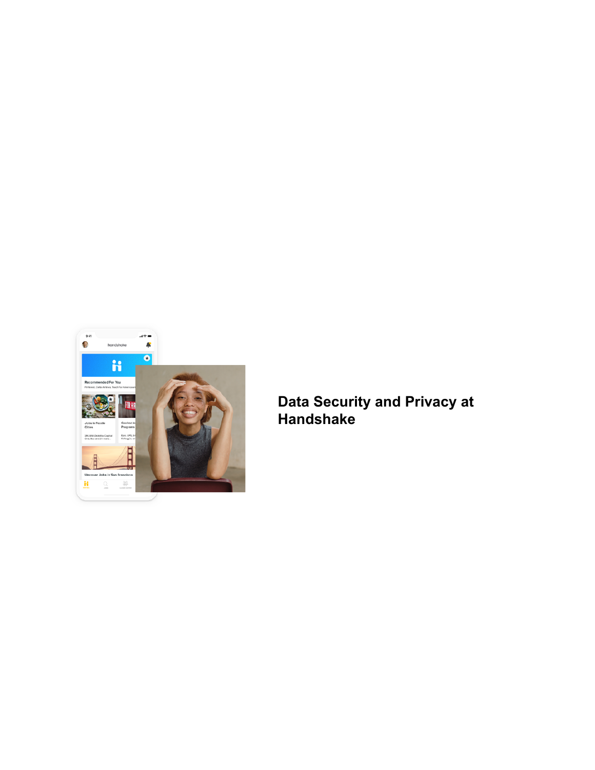

**Data Security and Privacy at Handshake**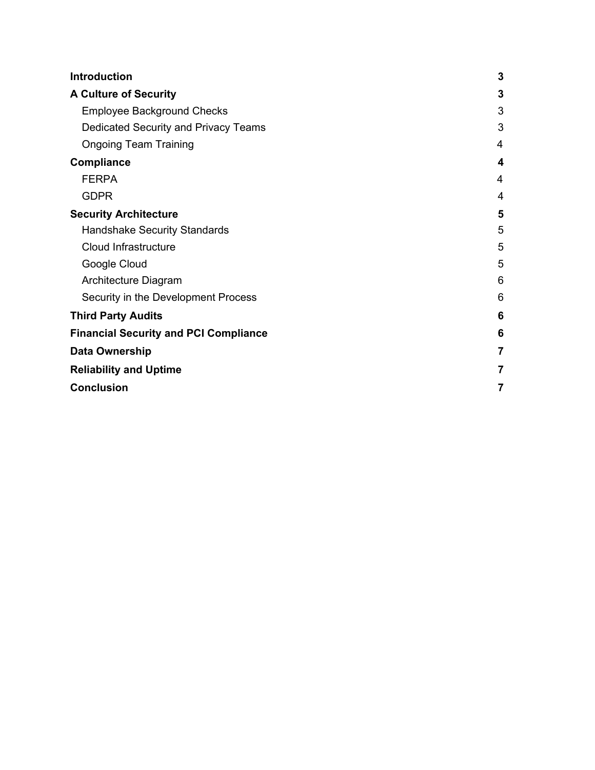| <b>Introduction</b>                          |   |  |
|----------------------------------------------|---|--|
| <b>A Culture of Security</b>                 |   |  |
| <b>Employee Background Checks</b>            |   |  |
| Dedicated Security and Privacy Teams         |   |  |
| <b>Ongoing Team Training</b>                 |   |  |
| <b>Compliance</b>                            |   |  |
| <b>FERPA</b>                                 | 4 |  |
| <b>GDPR</b>                                  | 4 |  |
| <b>Security Architecture</b>                 |   |  |
| <b>Handshake Security Standards</b>          | 5 |  |
| Cloud Infrastructure                         | 5 |  |
| Google Cloud                                 |   |  |
| Architecture Diagram                         | 6 |  |
| Security in the Development Process          | 6 |  |
| <b>Third Party Audits</b>                    |   |  |
| <b>Financial Security and PCI Compliance</b> |   |  |
| Data Ownership                               |   |  |
| <b>Reliability and Uptime</b>                |   |  |
| <b>Conclusion</b>                            |   |  |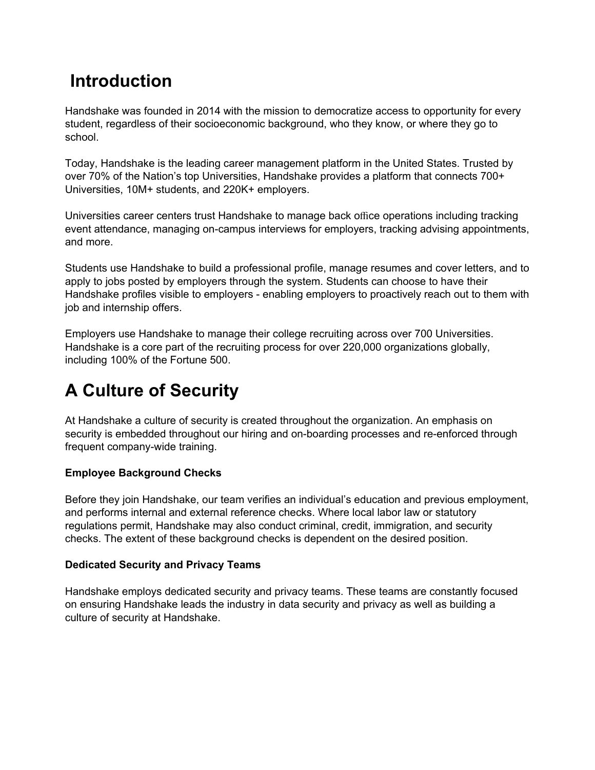## <span id="page-2-0"></span>**Introduction**

Handshake was founded in 2014 with the mission to democratize access to opportunity for every student, regardless of their socioeconomic background, who they know, or where they go to school.

Today, Handshake is the leading career management platform in the United States. Trusted by over 70% of the Nation's top Universities, Handshake provides a platform that connects 700+ Universities, 10M+ students, and 220K+ employers.

Universities career centers trust Handshake to manage back office operations including tracking event attendance, managing on-campus interviews for employers, tracking advising appointments, and more.

Students use Handshake to build a professional profile, manage resumes and cover letters, and to apply to jobs posted by employers through the system. Students can choose to have their Handshake profiles visible to employers - enabling employers to proactively reach out to them with job and internship offers.

Employers use Handshake to manage their college recruiting across over 700 Universities. Handshake is a core part of the recruiting process for over 220,000 organizations globally, including 100% of the Fortune 500.

# <span id="page-2-1"></span>**A Culture of Security**

At Handshake a culture of security is created throughout the organization. An emphasis on security is embedded throughout our hiring and on-boarding processes and re-enforced through frequent company-wide training.

### <span id="page-2-2"></span>**Employee Background Checks**

Before they join Handshake, our team verifies an individual's education and previous employment, and performs internal and external reference checks. Where local labor law or statutory regulations permit, Handshake may also conduct criminal, credit, immigration, and security checks. The extent of these background checks is dependent on the desired position.

### <span id="page-2-3"></span>**Dedicated Security and Privacy Teams**

Handshake employs dedicated security and privacy teams. These teams are constantly focused on ensuring Handshake leads the industry in data security and privacy as well as building a culture of security at Handshake.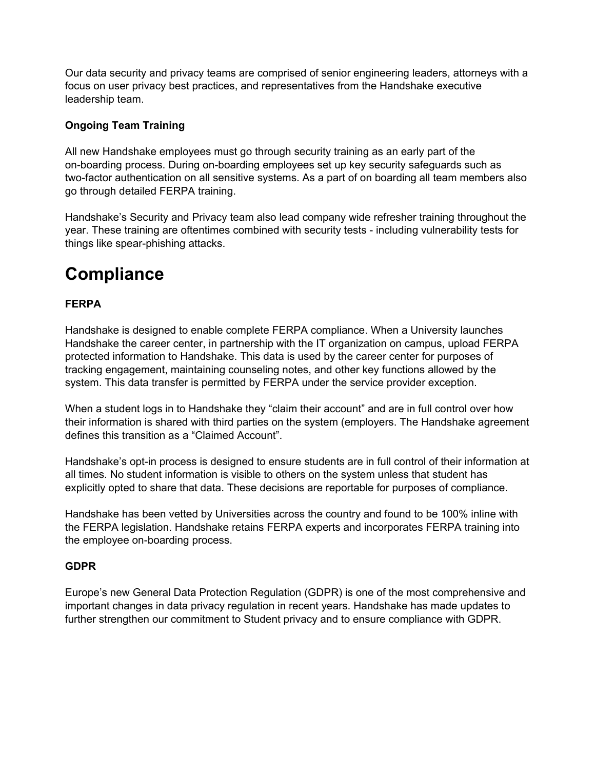Our data security and privacy teams are comprised of senior engineering leaders, attorneys with a focus on user privacy best practices, and representatives from the Handshake executive leadership team.

#### <span id="page-3-0"></span>**Ongoing Team Training**

All new Handshake employees must go through security training as an early part of the on-boarding process. During on-boarding employees set up key security safeguards such as two-factor authentication on all sensitive systems. As a part of on boarding all team members also go through detailed FERPA training.

Handshake's Security and Privacy team also lead company wide refresher training throughout the year. These training are oftentimes combined with security tests - including vulnerability tests for things like spear-phishing attacks.

### <span id="page-3-1"></span>**Compliance**

### <span id="page-3-2"></span>**FERPA**

Handshake is designed to enable complete FERPA compliance. When a University launches Handshake the career center, in partnership with the IT organization on campus, upload FERPA protected information to Handshake. This data is used by the career center for purposes of tracking engagement, maintaining counseling notes, and other key functions allowed by the system. This data transfer is permitted by FERPA under the service provider exception.

When a student logs in to Handshake they "claim their account" and are in full control over how their information is shared with third parties on the system (employers. The Handshake agreement defines this transition as a "Claimed Account".

Handshake's opt-in process is designed to ensure students are in full control of their information at all times. No student information is visible to others on the system unless that student has explicitly opted to share that data. These decisions are reportable for purposes of compliance.

Handshake has been vetted by Universities across the country and found to be 100% inline with the FERPA legislation. Handshake retains FERPA experts and incorporates FERPA training into the employee on-boarding process.

#### <span id="page-3-3"></span>**GDPR**

Europe's new General Data Protection Regulation (GDPR) is one of the most comprehensive and important changes in data privacy regulation in recent years. Handshake has made updates to further strengthen our commitment to Student privacy and to ensure compliance with GDPR.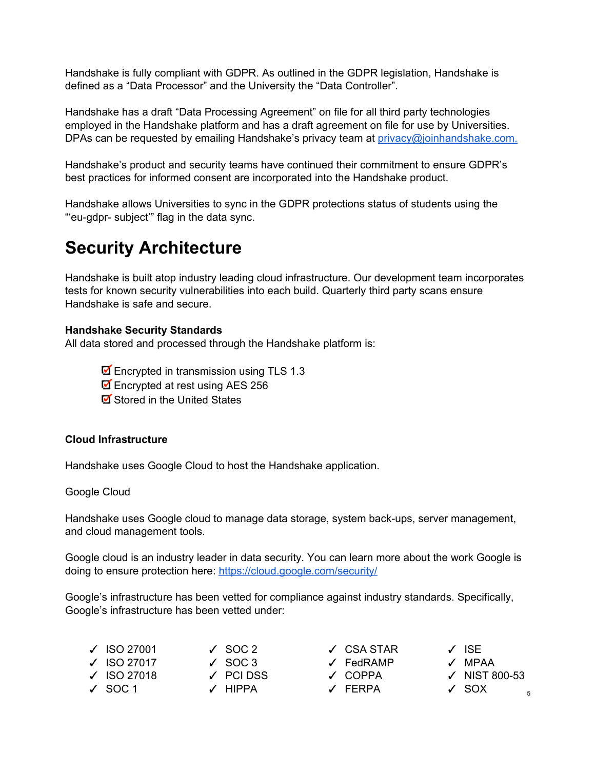Handshake is fully compliant with GDPR. As outlined in the GDPR legislation, Handshake is defined as a "Data Processor" and the University the "Data Controller".

Handshake has a draft "Data Processing Agreement" on file for all third party technologies employed in the Handshake platform and has a draft agreement on file for use by Universities. DPAs can be requested by emailing Handshake's privacy team at  $\frac{pr}{\text{prox}(Q)}$  oinhandshake.com.

Handshake's product and security teams have continued their commitment to ensure GDPR's best practices for informed consent are incorporated into the Handshake product.

Handshake allows Universities to sync in the GDPR protections status of students using the "'eu-gdpr- subject" flag in the data sync.

### <span id="page-4-0"></span>**Security Architecture**

Handshake is built atop industry leading cloud infrastructure. Our development team incorporates tests for known security vulnerabilities into each build. Quarterly third party scans ensure Handshake is safe and secure.

#### <span id="page-4-1"></span>**Handshake Security Standards**

All data stored and processed through the Handshake platform is:

■ Encrypted in transmission using TLS 1.3

- Encrypted at rest using AES 256
- Stored in the United States

#### <span id="page-4-2"></span>**Cloud Infrastructure**

Handshake uses Google Cloud to host the Handshake application.

### <span id="page-4-3"></span>Google Cloud

Handshake uses Google cloud to manage data storage, system back-ups, server management, and cloud management tools.

Google cloud is an industry leader in data security. You can learn more about the work Google is doing to ensure protection here: <https://cloud.google.com/security/>

Google's infrastructure has been vetted for compliance against industry standards. Specifically, Google's infrastructure has been vetted under:

| $\checkmark$ ISO 27001 | $\sqrt{}$ SOC 2 | $\sqrt{}$ CSA STAR | $\sqrt{2}$ ISF           |
|------------------------|-----------------|--------------------|--------------------------|
| $\checkmark$ ISO 27017 | $\sqrt{}$ SOC 3 | ✓ FedRAMP          | $\sqrt{MPAA}$            |
| $\sqrt{}$ ISO 27018    | $\angle$ PCIDSS | √ COPPA            | $\checkmark$ NIST 800-53 |
| $\sqrt{}$ SOC 1        | $\angle$ HIPPA  | √ FFRPA            | $\sqrt{SOX}$<br>5        |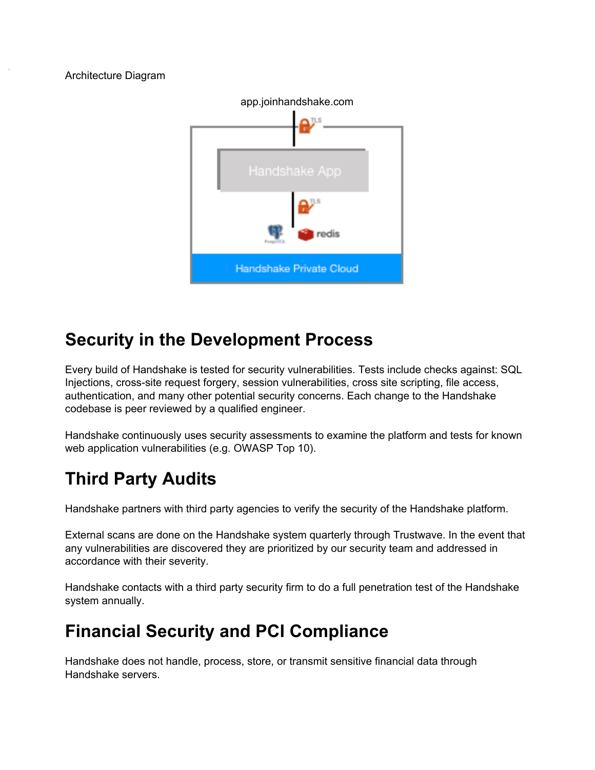#### <span id="page-5-0"></span>Architecture Diagram



### <span id="page-5-1"></span>**Security in the Development Process**

Every build of Handshake is tested for security vulnerabilities. Tests include checks against: SQL Injections, cross-site request forgery, session vulnerabilities, cross site scripting, file access, authentication, and many other potential security concerns. Each change to the Handshake codebase is peer reviewed by a qualified engineer.

Handshake continuously uses security assessments to examine the platform and tests for known web application vulnerabilities (e.g. OWASP Top 10).

## <span id="page-5-2"></span>**Third Party Audits**

Handshake partners with third party agencies to verify the security of the Handshake platform.

External scans are done on the Handshake system quarterly through Trustwave. In the event that any vulnerabilities are discovered they are prioritized by our security team and addressed in accordance with their severity.

Handshake contacts with a third party security firm to do a full penetration test of the Handshake system annually.

## <span id="page-5-3"></span>**Financial Security and PCI Compliance**

Handshake does not handle, process, store, or transmit sensitive financial data through Handshake servers.